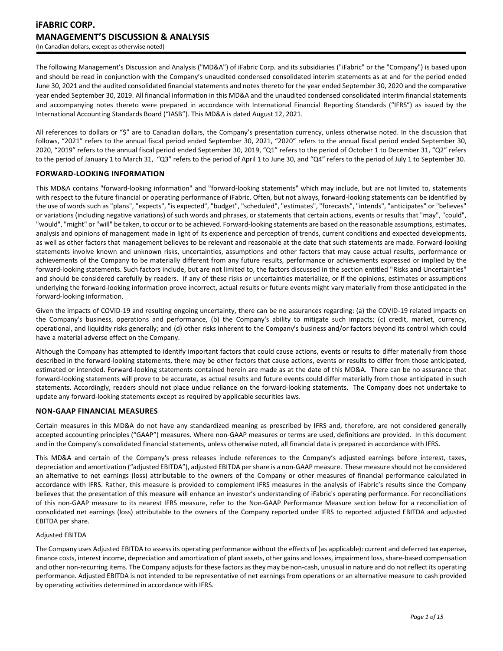The following Management's Discussion and Analysis ("MD&A") of iFabric Corp. and its subsidiaries ("iFabric" or the "Company") is based upon and should be read in conjunction with the Company's unaudited condensed consolidated interim statements as at and for the period ended June 30, 2021 and the audited consolidated financial statements and notes thereto for the year ended September 30, 2020 and the comparative year ended September 30, 2019. All financial information in this MD&A and the unaudited condensed consolidated interim financial statements and accompanying notes thereto were prepared in accordance with International Financial Reporting Standards ("IFRS") as issued by the International Accounting Standards Board ("IASB"). This MD&A is dated August 12, 2021.

All references to dollars or "\$" are to Canadian dollars, the Company's presentation currency, unless otherwise noted. In the discussion that follows, "2021" refers to the annual fiscal period ended September 30, 2021, "2020" refers to the annual fiscal period ended September 30, 2020, "2019" refers to the annual fiscal period ended September 30, 2019, "Q1" refers to the period of October 1 to December 31, "Q2" refers to the period of January 1 to March 31, "Q3" refers to the period of April 1 to June 30, and "Q4" refers to the period of July 1 to September 30.

## **FORWARD-LOOKING INFORMATION**

This MD&A contains "forward-looking information" and "forward-looking statements" which may include, but are not limited to, statements with respect to the future financial or operating performance of iFabric. Often, but not always, forward-looking statements can be identified by the use of words such as "plans", "expects", "is expected", "budget", "scheduled", "estimates", "forecasts", "intends", "anticipates" or "believes" or variations (including negative variations) of such words and phrases, or statements that certain actions, events or results that "may", "could", "would", "might" or "will" be taken, to occur or to be achieved. Forward-looking statements are based on the reasonable assumptions, estimates, analysis and opinions of management made in light of its experience and perception of trends, current conditions and expected developments, as well as other factors that management believes to be relevant and reasonable at the date that such statements are made. Forward-looking statements involve known and unknown risks, uncertainties, assumptions and other factors that may cause actual results, performance or achievements of the Company to be materially different from any future results, performance or achievements expressed or implied by the forward-looking statements. Such factors include, but are not limited to, the factors discussed in the section entitled "Risks and Uncertainties" and should be considered carefully by readers. If any of these risks or uncertainties materialize, or if the opinions, estimates or assumptions underlying the forward-looking information prove incorrect, actual results or future events might vary materially from those anticipated in the forward-looking information.

Given the impacts of COVID-19 and resulting ongoing uncertainty, there can be no assurances regarding: (a) the COVID-19 related impacts on the Company's business, operations and performance, (b) the Company's ability to mitigate such impacts; (c) credit, market, currency, operational, and liquidity risks generally; and (d) other risks inherent to the Company's business and/or factors beyond its control which could have a material adverse effect on the Company.

Although the Company has attempted to identify important factors that could cause actions, events or results to differ materially from those described in the forward-looking statements, there may be other factors that cause actions, events or results to differ from those anticipated, estimated or intended. Forward-looking statements contained herein are made as at the date of this MD&A. There can be no assurance that forward-looking statements will prove to be accurate, as actual results and future events could differ materially from those anticipated in such statements. Accordingly, readers should not place undue reliance on the forward-looking statements. The Company does not undertake to update any forward-looking statements except as required by applicable securities laws.

## **NON-GAAP FINANCIAL MEASURES**

Certain measures in this MD&A do not have any standardized meaning as prescribed by IFRS and, therefore, are not considered generally accepted accounting principles ("GAAP") measures. Where non-GAAP measures or terms are used, definitions are provided. In this document and in the Company's consolidated financial statements, unless otherwise noted, all financial data is prepared in accordance with IFRS.

This MD&A and certain of the Company's press releases include references to the Company's adjusted earnings before interest, taxes, depreciation and amortization ("adjusted EBITDA"), adjusted EBITDA per share is a non-GAAP measure. These measure should not be considered an alternative to net earnings (loss) attributable to the owners of the Company or other measures of financial performance calculated in accordance with IFRS. Rather, this measure is provided to complement IFRS measures in the analysis of iFabric's results since the Company believes that the presentation of this measure will enhance an investor's understanding of iFabric's operating performance. For reconciliations of this non-GAAP measure to its nearest IFRS measure, refer to the Non-GAAP Performance Measure section below for a reconciliation of consolidated net earnings (loss) attributable to the owners of the Company reported under IFRS to reported adjusted EBITDA and adjusted EBITDA per share.

### Adjusted EBITDA

The Company uses Adjusted EBITDA to assess its operating performance without the effects of (as applicable): current and deferred tax expense, finance costs, interest income, depreciation and amortization of plant assets, other gains and losses, impairment loss, share-based compensation and other non-recurring items. The Company adjusts for these factors as they may be non-cash, unusual in nature and do not reflect its operating performance. Adjusted EBITDA is not intended to be representative of net earnings from operations or an alternative measure to cash provided by operating activities determined in accordance with IFRS.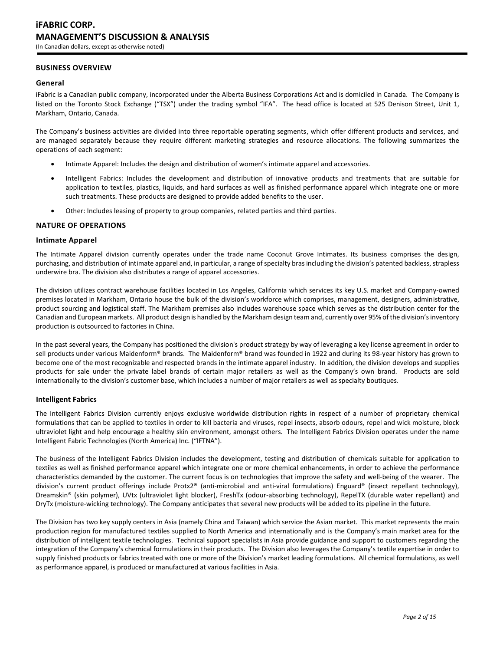## **BUSINESS OVERVIEW**

### **General**

iFabric is a Canadian public company, incorporated under the Alberta Business Corporations Act and is domiciled in Canada. The Company is listed on the Toronto Stock Exchange ("TSX") under the trading symbol "IFA". The head office is located at 525 Denison Street, Unit 1, Markham, Ontario, Canada.

The Company's business activities are divided into three reportable operating segments, which offer different products and services, and are managed separately because they require different marketing strategies and resource allocations. The following summarizes the operations of each segment:

- Intimate Apparel: Includes the design and distribution of women's intimate apparel and accessories.
- Intelligent Fabrics: Includes the development and distribution of innovative products and treatments that are suitable for application to textiles, plastics, liquids, and hard surfaces as well as finished performance apparel which integrate one or more such treatments. These products are designed to provide added benefits to the user.
- Other: Includes leasing of property to group companies, related parties and third parties.

### **NATURE OF OPERATIONS**

### **Intimate Apparel**

The Intimate Apparel division currently operates under the trade name Coconut Grove Intimates. Its business comprises the design, purchasing, and distribution of intimate apparel and, in particular, a range of specialty bras including the division's patented backless, strapless underwire bra. The division also distributes a range of apparel accessories.

The division utilizes contract warehouse facilities located in Los Angeles, California which services its key U.S. market and Company-owned premises located in Markham, Ontario house the bulk of the division's workforce which comprises, management, designers, administrative, product sourcing and logistical staff. The Markham premises also includes warehouse space which serves as the distribution center for the Canadian and European markets. All product design is handled by the Markham design team and, currently over 95% of the division's inventory production is outsourced to factories in China.

In the past several years, the Company has positioned the division's product strategy by way of leveraging a key license agreement in order to sell products under various Maidenform® brands. The Maidenform® brand was founded in 1922 and during its 98-year history has grown to become one of the most recognizable and respected brands in the intimate apparel industry. In addition, the division develops and supplies products for sale under the private label brands of certain major retailers as well as the Company's own brand. Products are sold internationally to the division's customer base, which includes a number of major retailers as well as specialty boutiques.

### **Intelligent Fabrics**

The Intelligent Fabrics Division currently enjoys exclusive worldwide distribution rights in respect of a number of proprietary chemical formulations that can be applied to textiles in order to kill bacteria and viruses, repel insects, absorb odours, repel and wick moisture, block ultraviolet light and help encourage a healthy skin environment, amongst others. The Intelligent Fabrics Division operates under the name Intelligent Fabric Technologies (North America) Inc. ("IFTNA").

The business of the Intelligent Fabrics Division includes the development, testing and distribution of chemicals suitable for application to textiles as well as finished performance apparel which integrate one or more chemical enhancements, in order to achieve the performance characteristics demanded by the customer. The current focus is on technologies that improve the safety and well-being of the wearer. The division's current product offerings include Protx2® (anti-microbial and anti-viral formulations) Enguard® (insect repellant technology), Dreamskin® (skin polymer), UVtx (ultraviolet light blocker), FreshTx (odour-absorbing technology), RepelTX (durable water repellant) and DryTx (moisture-wicking technology). The Company anticipates that several new products will be added to its pipeline in the future.

The Division has two key supply centers in Asia (namely China and Taiwan) which service the Asian market. This market represents the main production region for manufactured textiles supplied to North America and internationally and is the Company's main market area for the distribution of intelligent textile technologies. Technical support specialists in Asia provide guidance and support to customers regarding the integration of the Company's chemical formulations in their products. The Division also leverages the Company's textile expertise in order to supply finished products or fabrics treated with one or more of the Division's market leading formulations. All chemical formulations, as well as performance apparel, is produced or manufactured at various facilities in Asia.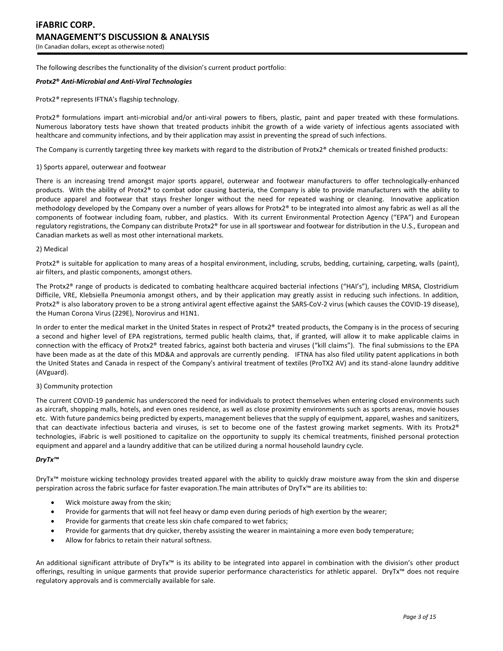The following describes the functionality of the division's current product portfolio:

### *Protx2***®** *Anti-Microbial and Anti-Viral Technologies*

Protx2*®* represents IFTNA's flagship technology.

Protx2*®* formulations impart anti-microbial and/or anti-viral powers to fibers, plastic, paint and paper treated with these formulations. Numerous laboratory tests have shown that treated products inhibit the growth of a wide variety of infectious agents associated with healthcare and community infections, and by their application may assist in preventing the spread of such infections.

The Company is currently targeting three key markets with regard to the distribution of Protx2® chemicals or treated finished products:

### 1) Sports apparel, outerwear and footwear

There is an increasing trend amongst major sports apparel, outerwear and footwear manufacturers to offer technologically-enhanced products. With the ability of Protx2® to combat odor causing bacteria, the Company is able to provide manufacturers with the ability to produce apparel and footwear that stays fresher longer without the need for repeated washing or cleaning. Innovative application methodology developed by the Company over a number of years allows for Protx2® to be integrated into almost any fabric as well as all the components of footwear including foam, rubber, and plastics. With its current Environmental Protection Agency ("EPA") and European regulatory registrations, the Company can distribute Protx2® for use in all sportswear and footwear for distribution in the U.S., European and Canadian markets as well as most other international markets.

### 2) Medical

Protx2<sup>®</sup> is suitable for application to many areas of a hospital environment, including, scrubs, bedding, curtaining, carpeting, walls (paint), air filters, and plastic components, amongst others.

The Protx2® range of products is dedicated to combating healthcare acquired bacterial infections ("HAI's"), including MRSA, Clostridium Difficile, VRE, Klebsiella Pneumonia amongst others, and by their application may greatly assist in reducing such infections. In addition, Protx2® is also laboratory proven to be a strong antiviral agent effective against the SARS-CoV-2 virus (which causes the COVID-19 disease), the Human Corona Virus (229E), Norovirus and H1N1.

In order to enter the medical market in the United States in respect of Protx $2^{\circ}$  treated products, the Company is in the process of securing a second and higher level of EPA registrations, termed public health claims, that, if granted, will allow it to make applicable claims in connection with the efficacy of Protx2® treated fabrics, against both bacteria and viruses ("kill claims"). The final submissions to the EPA have been made as at the date of this MD&A and approvals are currently pending. IFTNA has also filed utility patent applications in both the United States and Canada in respect of the Company's antiviral treatment of textiles (ProTX2 AV) and its stand-alone laundry additive (AVguard).

### 3) Community protection

The current COVID-19 pandemic has underscored the need for individuals to protect themselves when entering closed environments such as aircraft, shopping malls, hotels, and even ones residence, as well as close proximity environments such as sports arenas, movie houses etc. With future pandemics being predicted by experts, management believes that the supply of equipment, apparel, washes and sanitizers, that can deactivate infectious bacteria and viruses, is set to become one of the fastest growing market segments. With its Protx2® technologies, iFabric is well positioned to capitalize on the opportunity to supply its chemical treatments, finished personal protection equipment and apparel and a laundry additive that can be utilized during a normal household laundry cycle.

### *DryTx™*

DryTx™ moisture wicking technology provides treated apparel with the ability to quickly draw moisture away from the skin and disperse perspiration across the fabric surface for faster evaporation.The main attributes of DryTx™ are its abilities to:

- Wick moisture away from the skin;
- Provide for garments that will not feel heavy or damp even during periods of high exertion by the wearer;
- Provide for garments that create less skin chafe compared to wet fabrics;
- Provide for garments that dry quicker, thereby assisting the wearer in maintaining a more even body temperature;
- Allow for fabrics to retain their natural softness.

An additional significant attribute of DryTx™ is its ability to be integrated into apparel in combination with the division's other product offerings, resulting in unique garments that provide superior performance characteristics for athletic apparel. DryTx™ does not require regulatory approvals and is commercially available for sale.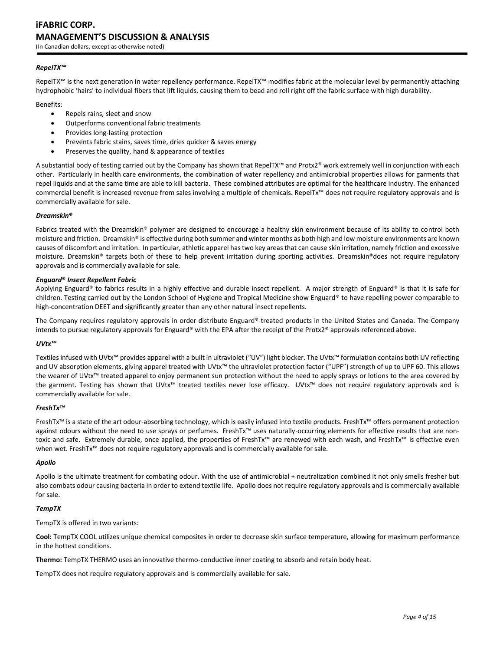# **iFABRIC CORP. MANAGEMENT'S DISCUSSION & ANALYSIS**

(In Canadian dollars, except as otherwise noted)

### *RepelTX™*

RepelTX™ is the next generation in water repellency performance. RepelTX™ modifies fabric at the molecular level by permanently attaching hydrophobic 'hairs' to individual fibers that lift liquids, causing them to bead and roll right off the fabric surface with high durability.

Benefits:

- Repels rains, sleet and snow
- Outperforms conventional fabric treatments
- Provides long-lasting protection
- Prevents fabric stains, saves time, dries quicker & saves energy
- Preserves the quality, hand & appearance of textiles

A substantial body of testing carried out by the Company has shown that RepelTX™ and Protx2® work extremely well in conjunction with each other. Particularly in health care environments, the combination of water repellency and antimicrobial properties allows for garments that repel liquids and at the same time are able to kill bacteria. These combined attributes are optimal for the healthcare industry. The enhanced commercial benefit is increased revenue from sales involving a multiple of chemicals. RepelTx™ does not require regulatory approvals and is commercially available for sale.

### *Dreamskin***®**

Fabrics treated with the Dreamskin® polymer are designed to encourage a healthy skin environment because of its ability to control both moisture and friction. Dreamskin® is effective during both summer and winter months as both high and low moisture environments are known causes of discomfort and irritation. In particular, athletic apparel has two key areas that can cause skin irritation, namely friction and excessive moisture. Dreamskin® targets both of these to help prevent irritation during sporting activities. Dreamskin®does not require regulatory approvals and is commercially available for sale.

### *Enguard***®** *Insect Repellent Fabric*

Applying Enguard® to fabrics results in a highly effective and durable insect repellent. A major strength of Enguard® is that it is safe for children. Testing carried out by the London School of Hygiene and Tropical Medicine show Enguard® to have repelling power comparable to high-concentration DEET and significantly greater than any other natural insect repellents.

The Company requires regulatory approvals in order distribute Enguard® treated products in the United States and Canada. The Company intends to pursue regulatory approvals for Enguard® with the EPA after the receipt of the Protx2® approvals referenced above.

## *UVtx™*

Textiles infused with UVtx™ provides apparel with a built in ultraviolet ("UV") light blocker. The UVtx™ formulation contains both UV reflecting and UV absorption elements, giving apparel treated with UVtx™ the ultraviolet protection factor ("UPF") strength of up to UPF 60. This allows the wearer of UVtx™ treated apparel to enjoy permanent sun protection without the need to apply sprays or lotions to the area covered by the garment. Testing has shown that UVtx™ treated textiles never lose efficacy. UVtx™ does not require regulatory approvals and is commercially available for sale.

### *FreshTx™*

FreshTx™ is a state of the art odour-absorbing technology, which is easily infused into textile products. FreshTx™ offers permanent protection against odours without the need to use sprays or perfumes. FreshTx™ uses naturally-occurring elements for effective results that are nontoxic and safe. Extremely durable, once applied, the properties of FreshTx™ are renewed with each wash, and FreshTx™ is effective even when wet. FreshTx<sup>™</sup> does not require regulatory approvals and is commercially available for sale.

### *Apollo*

Apollo is the ultimate treatment for combating odour. With the use of antimicrobial + neutralization combined it not only smells fresher but also combats odour causing bacteria in order to extend textile life. Apollo does not require regulatory approvals and is commercially available for sale.

### *TempTX*

TempTX is offered in two variants:

**Cool:** TempTX COOL utilizes unique chemical composites in order to decrease skin surface temperature, allowing for maximum performance in the hottest conditions.

**Thermo:** TempTX THERMO uses an innovative thermo-conductive inner coating to absorb and retain body heat.

TempTX does not require regulatory approvals and is commercially available for sale.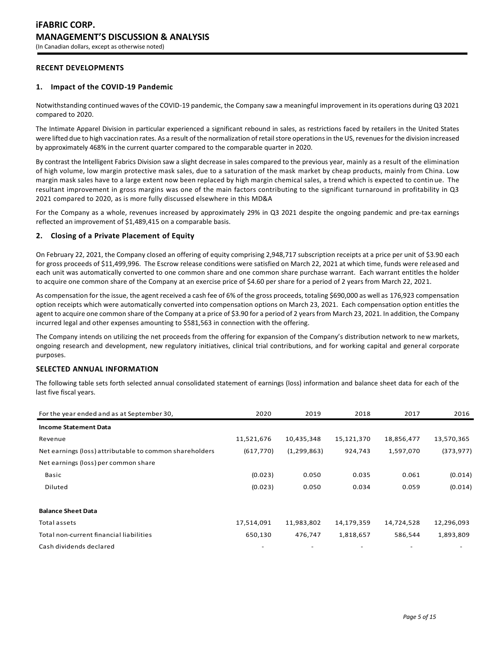## **RECENT DEVELOPMENTS**

## **1. Impact of the COVID-19 Pandemic**

Notwithstanding continued waves of the COVID-19 pandemic, the Company saw a meaningful improvement in its operations during Q3 2021 compared to 2020.

The Intimate Apparel Division in particular experienced a significant rebound in sales, as restrictions faced by retailers in the United States were lifted due to high vaccination rates. As a result of the normalization of retail store operationsin the US, revenues for the division increased by approximately 468% in the current quarter compared to the comparable quarter in 2020.

By contrast the Intelligent Fabrics Division saw a slight decrease in sales compared to the previous year, mainly as a result of the elimination of high volume, low margin protective mask sales, due to a saturation of the mask market by cheap products, mainly from China. Low margin mask sales have to a large extent now been replaced by high margin chemical sales, a trend which is expected to contin ue. The resultant improvement in gross margins was one of the main factors contributing to the significant turnaround in profitability in Q3 2021 compared to 2020, as is more fully discussed elsewhere in this MD&A

For the Company as a whole, revenues increased by approximately 29% in Q3 2021 despite the ongoing pandemic and pre-tax earnings reflected an improvement of \$1,489,415 on a comparable basis.

### **2. Closing of a Private Placement of Equity**

On February 22, 2021, the Company closed an offering of equity comprising 2,948,717 subscription receipts at a price per unit of \$3.90 each for gross proceeds of \$11,499,996. The Escrow release conditions were satisfied on March 22, 2021 at which time, funds were released and each unit was automatically converted to one common share and one common share purchase warrant. Each warrant entitles the holder to acquire one common share of the Company at an exercise price of \$4.60 per share for a period of 2 years from March 22, 2021.

As compensation for the issue, the agent received a cash fee of 6% of the gross proceeds, totaling \$690,000 as well as 176,923 compensation option receipts which were automatically converted into compensation options on March 23, 2021. Each compensation option entitles the agent to acquire one common share of the Company at a price of \$3.90 for a period of 2 years from March 23, 2021. In addition, the Company incurred legal and other expenses amounting to \$581,563 in connection with the offering.

The Company intends on utilizing the net proceeds from the offering for expansion of the Company's distribution network to new markets, ongoing research and development, new regulatory initiatives, clinical trial contributions, and for working capital and general corporate purposes.

## **SELECTED ANNUAL INFORMATION**

The following table sets forth selected annual consolidated statement of earnings (loss) information and balance sheet data for each of the last five fiscal years.

| For the year ended and as at September 30,              | 2020       | 2019          | 2018       | 2017       | 2016       |
|---------------------------------------------------------|------------|---------------|------------|------------|------------|
| <b>Income Statement Data</b>                            |            |               |            |            |            |
| Revenue                                                 | 11,521,676 | 10,435,348    | 15,121,370 | 18,856,477 | 13,570,365 |
| Net earnings (loss) attributable to common shareholders | (617, 770) | (1, 299, 863) | 924,743    | 1,597,070  | (373, 977) |
| Net earnings (loss) per common share                    |            |               |            |            |            |
| Basic                                                   | (0.023)    | 0.050         | 0.035      | 0.061      | (0.014)    |
| Diluted                                                 | (0.023)    | 0.050         | 0.034      | 0.059      | (0.014)    |
| <b>Balance Sheet Data</b>                               |            |               |            |            |            |
| Total assets                                            | 17,514,091 | 11,983,802    | 14,179,359 | 14,724,528 | 12,296,093 |
| Total non-current financial liabilities                 | 650,130    | 476,747       | 1,818,657  | 586,544    | 1,893,809  |
| Cash dividends declared                                 |            |               |            |            |            |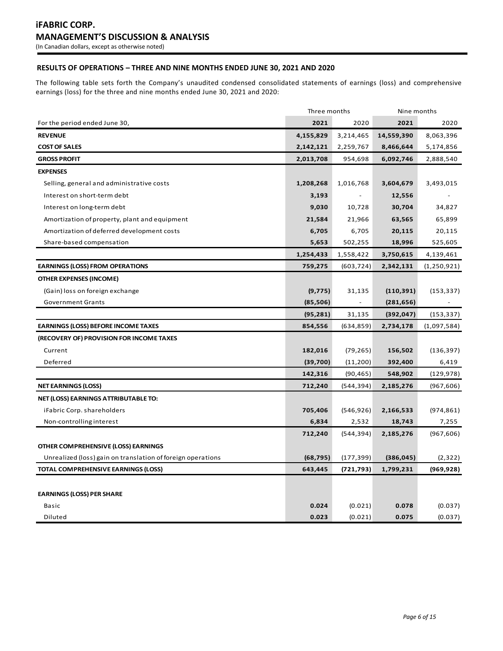## **RESULTS OF OPERATIONS – THREE AND NINE MONTHS ENDED JUNE 30, 2021 AND 2020**

The following table sets forth the Company's unaudited condensed consolidated statements of earnings (loss) and comprehensive earnings (loss) for the three and nine months ended June 30, 2021 and 2020:

|                                                             |           | Three months |            | Nine months |  |
|-------------------------------------------------------------|-----------|--------------|------------|-------------|--|
| For the period ended June 30,                               | 2021      | 2020         | 2021       | 2020        |  |
| <b>REVENUE</b>                                              | 4,155,829 | 3,214,465    | 14,559,390 | 8,063,396   |  |
| <b>COST OF SALES</b>                                        | 2,142,121 | 2,259,767    | 8,466,644  | 5,174,856   |  |
| <b>GROSS PROFIT</b>                                         | 2,013,708 | 954,698      | 6,092,746  | 2,888,540   |  |
| <b>EXPENSES</b>                                             |           |              |            |             |  |
| Selling, general and administrative costs                   | 1,208,268 | 1,016,768    | 3,604,679  | 3,493,015   |  |
| Interest on short-term debt                                 | 3,193     | $\sim$       | 12,556     |             |  |
| Interest on long-term debt                                  | 9,030     | 10,728       | 30,704     | 34,827      |  |
| Amortization of property, plant and equipment               | 21,584    | 21,966       | 63,565     | 65,899      |  |
| Amortization of deferred development costs                  | 6,705     | 6,705        | 20,115     | 20,115      |  |
| Share-based compensation                                    | 5,653     | 502,255      | 18,996     | 525,605     |  |
|                                                             | 1,254,433 | 1,558,422    | 3,750,615  | 4,139,461   |  |
| <b>EARNINGS (LOSS) FROM OPERATIONS</b>                      | 759,275   | (603, 724)   | 2,342,131  | (1,250,921) |  |
| <b>OTHER EXPENSES (INCOME)</b>                              |           |              |            |             |  |
| (Gain) loss on foreign exchange                             | (9, 775)  | 31,135       | (110, 391) | (153, 337)  |  |
| <b>Government Grants</b>                                    | (85, 506) |              | (281, 656) |             |  |
|                                                             | (95, 281) | 31,135       | (392, 047) | (153, 337)  |  |
| <b>EARNINGS (LOSS) BEFORE INCOME TAXES</b>                  | 854,556   | (634, 859)   | 2,734,178  | (1,097,584) |  |
| (RECOVERY OF) PROVISION FOR INCOME TAXES                    |           |              |            |             |  |
| Current                                                     | 182,016   | (79, 265)    | 156,502    | (136, 397)  |  |
| Deferred                                                    | (39,700)  | (11, 200)    | 392,400    | 6,419       |  |
|                                                             | 142,316   | (90, 465)    | 548,902    | (129, 978)  |  |
| <b>NET EARNINGS (LOSS)</b>                                  | 712,240   | (544, 394)   | 2,185,276  | (967, 606)  |  |
| NET (LOSS) EARNINGS ATTRIBUTABLE TO:                        |           |              |            |             |  |
| iFabric Corp. shareholders                                  | 705,406   | (546, 926)   | 2,166,533  | (974, 861)  |  |
| Non-controlling interest                                    | 6,834     | 2,532        | 18,743     | 7,255       |  |
|                                                             | 712,240   | (544, 394)   | 2,185,276  | (967, 606)  |  |
| OTHER COMPREHENSIVE (LOSS) EARNINGS                         |           |              |            |             |  |
| Unrealized (loss) gain on translation of foreign operations | (68, 795) | (177, 399)   | (386, 045) | (2,322)     |  |
| TOTAL COMPREHENSIVE EARNINGS (LOSS)                         | 643,445   | (721, 793)   | 1,799,231  | (969, 928)  |  |
|                                                             |           |              |            |             |  |
| <b>EARNINGS (LOSS) PER SHARE</b>                            |           |              |            |             |  |
| <b>Basic</b>                                                | 0.024     | (0.021)      | 0.078      | (0.037)     |  |
| Diluted                                                     | 0.023     | (0.021)      | 0.075      | (0.037)     |  |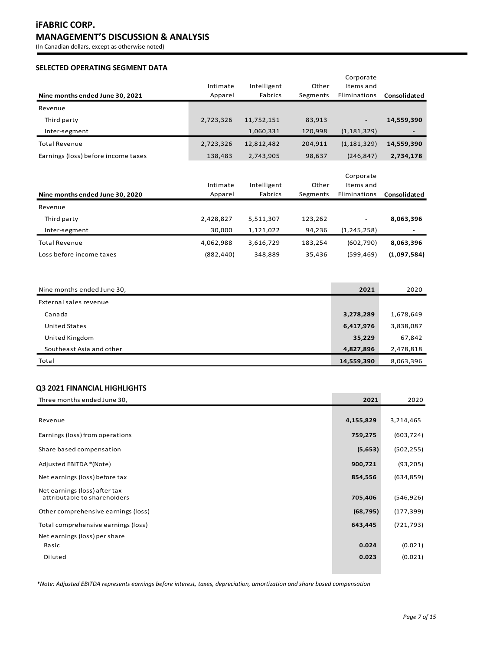# **iFABRIC CORP. MANAGEMENT'S DISCUSSION & ANALYSIS**

(In Canadian dollars, except as otherwise noted)

## **SELECTED OPERATING SEGMENT DATA**

|                                     | Intimate  | Intelligent | Other    | Corporate<br>Items and   |                          |
|-------------------------------------|-----------|-------------|----------|--------------------------|--------------------------|
| Nine months ended June 30, 2021     | Apparel   | Fabrics     | Segments | Eliminations             | Consolidated             |
| Revenue                             |           |             |          |                          |                          |
| Third party                         | 2,723,326 | 11,752,151  | 83,913   | $\overline{\phantom{a}}$ | 14,559,390               |
| Inter-segment                       |           | 1,060,331   | 120,998  | (1, 181, 329)            | $\overline{\phantom{0}}$ |
| <b>Total Revenue</b>                | 2,723,326 | 12,812,482  | 204,911  | (1, 181, 329)            | 14,559,390               |
| Earnings (loss) before income taxes | 138,483   | 2,743,905   | 98,637   | (246, 847)               | 2,734,178                |

| Nine months ended June 30, 2020 | Intimate<br>Apparel | Intelligent<br>Fabrics | Other<br>Segments | Corporate<br>Items and<br>Eliminations | Consolidated |
|---------------------------------|---------------------|------------------------|-------------------|----------------------------------------|--------------|
| Revenue                         |                     |                        |                   |                                        |              |
| Third party                     | 2,428,827           | 5,511,307              | 123,262           | $\overline{\phantom{a}}$               | 8,063,396    |
| Inter-segment                   | 30,000              | 1,121,022              | 94,236            | (1, 245, 258)                          | $\,$ $\,$    |
| Total Revenue                   | 4,062,988           | 3,616,729              | 183,254           | (602, 790)                             | 8,063,396    |
| Loss before income taxes        | (882, 440)          | 348,889                | 35,436            | (599, 469)                             | (1,097,584)  |

| Nine months ended June 30, | 2021       | 2020      |
|----------------------------|------------|-----------|
| External sales revenue     |            |           |
| Canada                     | 3,278,289  | 1,678,649 |
| United States              | 6,417,976  | 3,838,087 |
| United Kingdom             | 35,229     | 67,842    |
| Southeast Asia and other   | 4,827,896  | 2,478,818 |
| Total                      | 14,559,390 | 8,063,396 |

## **Q3 2021 FINANCIAL HIGHLIGHTS**

| Three months ended June 30,                                   | 2021      | 2020       |
|---------------------------------------------------------------|-----------|------------|
|                                                               |           |            |
| Revenue                                                       | 4,155,829 | 3,214,465  |
| Earnings (loss) from operations                               | 759,275   | (603, 724) |
| Share based compensation                                      | (5,653)   | (502, 255) |
| Adjusted EBITDA *(Note)                                       | 900,721   | (93, 205)  |
| Net earnings (loss) before tax                                | 854,556   | (634, 859) |
| Net earnings (loss) after tax<br>attributable to shareholders | 705,406   | (546, 926) |
| Other comprehensive earnings (loss)                           | (68, 795) | (177, 399) |
| Total comprehensive earnings (loss)                           | 643,445   | (721, 793) |
| Net earnings (loss) per share                                 |           |            |
| Basic                                                         | 0.024     | (0.021)    |
| Diluted                                                       | 0.023     | (0.021)    |
|                                                               |           |            |

*\*Note: Adjusted EBITDA represents earnings before interest, taxes, depreciation, amortization and share based compensation*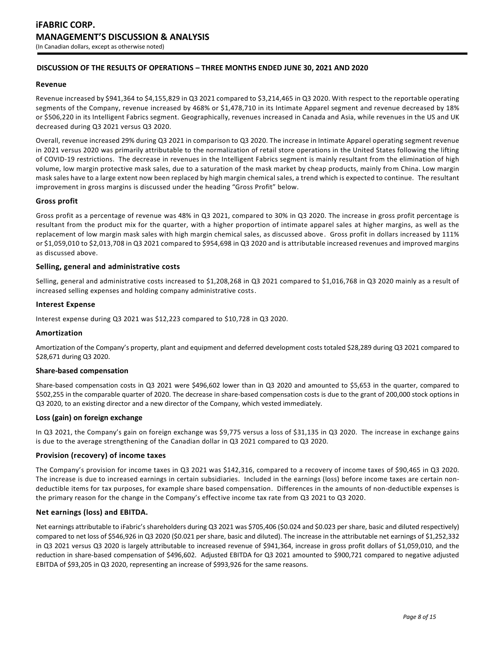## **DISCUSSION OF THE RESULTS OF OPERATIONS – THREE MONTHS ENDED JUNE 30, 2021 AND 2020**

### **Revenue**

Revenue increased by \$941,364 to \$4,155,829 in Q3 2021 compared to \$3,214,465 in Q3 2020. With respect to the reportable operating segments of the Company, revenue increased by 468% or \$1,478,710 in its Intimate Apparel segment and revenue decreased by 18% or \$506,220 in its Intelligent Fabrics segment. Geographically, revenues increased in Canada and Asia, while revenues in the US and UK decreased during Q3 2021 versus Q3 2020.

Overall, revenue increased 29% during Q3 2021 in comparison to Q3 2020. The increase in Intimate Apparel operating segment revenue in 2021 versus 2020 was primarily attributable to the normalization of retail store operations in the United States following the lifting of COVID-19 restrictions. The decrease in revenues in the Intelligent Fabrics segment is mainly resultant from the elimination of high volume, low margin protective mask sales, due to a saturation of the mask market by cheap products, mainly from China. Low margin mask sales have to a large extent now been replaced by high margin chemical sales, a trend which is expected to continue. The resultant improvement in gross margins is discussed under the heading "Gross Profit" below.

### **Gross profit**

Gross profit as a percentage of revenue was 48% in Q3 2021, compared to 30% in Q3 2020. The increase in gross profit percentage is resultant from the product mix for the quarter, with a higher proportion of intimate apparel sales at higher margins, as well as the replacement of low margin mask sales with high margin chemical sales, as discussed above. Gross profit in dollars increased by 111% or \$1,059,010 to \$2,013,708 in Q3 2021 compared to \$954,698 in Q3 2020 and is attributable increased revenues and improved margins as discussed above.

## **Selling, general and administrative costs**

Selling, general and administrative costs increased to \$1,208,268 in Q3 2021 compared to \$1,016,768 in Q3 2020 mainly as a result of increased selling expenses and holding company administrative costs.

### **Interest Expense**

Interest expense during Q3 2021 was \$12,223 compared to \$10,728 in Q3 2020.

### **Amortization**

Amortization of the Company's property, plant and equipment and deferred development costs totaled \$28,289 during Q3 2021 compared to \$28,671 during Q3 2020.

### **Share-based compensation**

Share-based compensation costs in Q3 2021 were \$496,602 lower than in Q3 2020 and amounted to \$5,653 in the quarter, compared to \$502,255 in the comparable quarter of 2020. The decrease in share-based compensation costs is due to the grant of 200,000 stock options in Q3 2020, to an existing director and a new director of the Company, which vested immediately.

### **Loss (gain) on foreign exchange**

In Q3 2021, the Company's gain on foreign exchange was \$9,775 versus a loss of \$31,135 in Q3 2020. The increase in exchange gains is due to the average strengthening of the Canadian dollar in Q3 2021 compared to Q3 2020.

### **Provision (recovery) of income taxes**

The Company's provision for income taxes in Q3 2021 was \$142,316, compared to a recovery of income taxes of \$90,465 in Q3 2020. The increase is due to increased earnings in certain subsidiaries. Included in the earnings (loss) before income taxes are certain nondeductible items for tax purposes, for example share based compensation. Differences in the amounts of non-deductible expenses is the primary reason for the change in the Company's effective income tax rate from Q3 2021 to Q3 2020.

### **Net earnings (loss) and EBITDA.**

Net earnings attributable to iFabric's shareholders during Q3 2021 was \$705,406 (\$0.024 and \$0.023 per share, basic and diluted respectively) compared to net loss of \$546,926 in Q3 2020 (\$0.021 per share, basic and diluted). The increase in the attributable net earnings of \$1,252,332 in Q3 2021 versus Q3 2020 is largely attributable to increased revenue of \$941,364, increase in gross profit dollars of \$1,059,010, and the reduction in share-based compensation of \$496,602. Adjusted EBITDA for Q3 2021 amounted to \$900,721 compared to negative adjusted EBITDA of \$93,205 in Q3 2020, representing an increase of \$993,926 for the same reasons.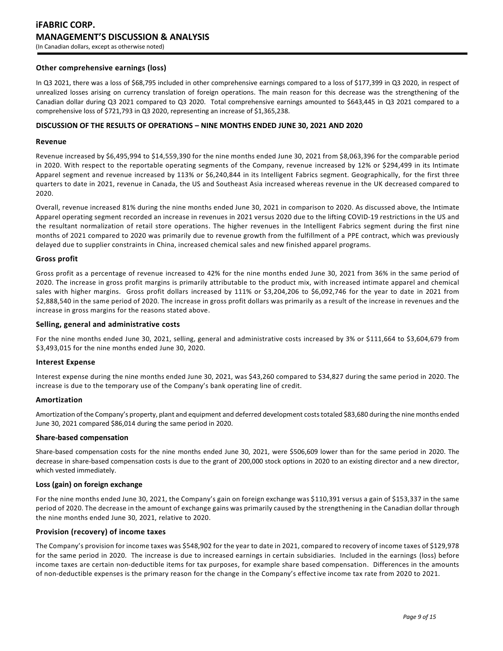## **iFABRIC CORP. MANAGEMENT'S DISCUSSION & ANALYSIS** (In Canadian dollars, except as otherwise noted)

## **Other comprehensive earnings (loss)**

In Q3 2021, there was a loss of \$68,795 included in other comprehensive earnings compared to a loss of \$177,399 in Q3 2020, in respect of unrealized losses arising on currency translation of foreign operations. The main reason for this decrease was the strengthening of the Canadian dollar during Q3 2021 compared to Q3 2020. Total comprehensive earnings amounted to \$643,445 in Q3 2021 compared to a comprehensive loss of \$721,793 in Q3 2020, representing an increase of \$1,365,238.

### **DISCUSSION OF THE RESULTS OF OPERATIONS – NINE MONTHS ENDED JUNE 30, 2021 AND 2020**

### **Revenue**

Revenue increased by \$6,495,994 to \$14,559,390 for the nine months ended June 30, 2021 from \$8,063,396 for the comparable period in 2020. With respect to the reportable operating segments of the Company, revenue increased by 12% or \$294,499 in its Intimate Apparel segment and revenue increased by 113% or \$6,240,844 in its Intelligent Fabrics segment. Geographically, for the first three quarters to date in 2021, revenue in Canada, the US and Southeast Asia increased whereas revenue in the UK decreased compared to 2020.

Overall, revenue increased 81% during the nine months ended June 30, 2021 in comparison to 2020. As discussed above, the Intimate Apparel operating segment recorded an increase in revenues in 2021 versus 2020 due to the lifting COVID-19 restrictions in the US and the resultant normalization of retail store operations. The higher revenues in the Intelligent Fabrics segment during the first nine months of 2021 compared to 2020 was primarily due to revenue growth from the fulfillment of a PPE contract, which was previously delayed due to supplier constraints in China, increased chemical sales and new finished apparel programs.

### **Gross profit**

Gross profit as a percentage of revenue increased to 42% for the nine months ended June 30, 2021 from 36% in the same period of 2020. The increase in gross profit margins is primarily attributable to the product mix, with increased intimate apparel and chemical sales with higher margins. Gross profit dollars increased by 111% or \$3,204,206 to \$6,092,746 for the year to date in 2021 from \$2,888,540 in the same period of 2020. The increase in gross profit dollars was primarily as a result of the increase in revenues and the increase in gross margins for the reasons stated above.

### **Selling, general and administrative costs**

For the nine months ended June 30, 2021, selling, general and administrative costs increased by 3% or \$111,664 to \$3,604,679 from \$3,493,015 for the nine months ended June 30, 2020.

### **Interest Expense**

Interest expense during the nine months ended June 30, 2021, was \$43,260 compared to \$34,827 during the same period in 2020. The increase is due to the temporary use of the Company's bank operating line of credit.

### **Amortization**

Amortization of the Company's property, plant and equipment and deferred development costs totaled \$83,680 during the nine months ended June 30, 2021 compared \$86,014 during the same period in 2020.

### **Share-based compensation**

Share-based compensation costs for the nine months ended June 30, 2021, were \$506,609 lower than for the same period in 2020. The decrease in share-based compensation costs is due to the grant of 200,000 stock options in 2020 to an existing director and a new director, which vested immediately.

### **Loss (gain) on foreign exchange**

For the nine months ended June 30, 2021, the Company's gain on foreign exchange was \$110,391 versus a gain of \$153,337 in the same period of 2020. The decrease in the amount of exchange gains was primarily caused by the strengthening in the Canadian dollar through the nine months ended June 30, 2021, relative to 2020.

### **Provision (recovery) of income taxes**

The Company's provision for income taxes was \$548,902 for the year to date in 2021, compared to recovery of income taxes of \$129,978 for the same period in 2020. The increase is due to increased earnings in certain subsidiaries. Included in the earnings (loss) before income taxes are certain non-deductible items for tax purposes, for example share based compensation. Differences in the amounts of non-deductible expenses is the primary reason for the change in the Company's effective income tax rate from 2020 to 2021.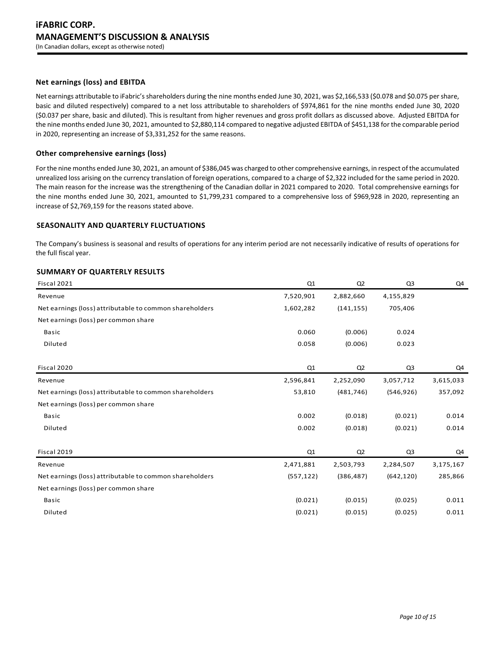## **Net earnings (loss) and EBITDA**

Net earnings attributable to iFabric's shareholders during the nine months ended June 30, 2021, was \$2,166,533 (\$0.078 and \$0.075 per share, basic and diluted respectively) compared to a net loss attributable to shareholders of \$974,861 for the nine months ended June 30, 2020 (\$0.037 per share, basic and diluted). This is resultant from higher revenues and gross profit dollars as discussed above. Adjusted EBITDA for the nine months ended June 30, 2021, amounted to \$2,880,114 compared to negative adjusted EBITDA of \$451,138 for the comparable period in 2020, representing an increase of \$3,331,252 for the same reasons.

## **Other comprehensive earnings (loss)**

For the nine months ended June 30, 2021, an amount of \$386,045 was charged to other comprehensive earnings, in respect of the accumulated unrealized loss arising on the currency translation of foreign operations, compared to a charge of \$2,322 included for the same period in 2020. The main reason for the increase was the strengthening of the Canadian dollar in 2021 compared to 2020. Total comprehensive earnings for the nine months ended June 30, 2021, amounted to \$1,799,231 compared to a comprehensive loss of \$969,928 in 2020, representing an increase of \$2,769,159 for the reasons stated above.

## **SEASONALITY AND QUARTERLY FLUCTUATIONS**

The Company's business is seasonal and results of operations for any interim period are not necessarily indicative of results of operations for the full fiscal year.

## **SUMMARY OF QUARTERLY RESULTS**

| Fiscal 2021                                             | Q1         | Q2             | Q <sub>3</sub> | Q4        |
|---------------------------------------------------------|------------|----------------|----------------|-----------|
| Revenue                                                 | 7,520,901  | 2,882,660      | 4,155,829      |           |
| Net earnings (loss) attributable to common shareholders | 1,602,282  | (141, 155)     | 705,406        |           |
| Net earnings (loss) per common share                    |            |                |                |           |
| Basic                                                   | 0.060      | (0.006)        | 0.024          |           |
| Diluted                                                 | 0.058      | (0.006)        | 0.023          |           |
| Fiscal 2020                                             | Q1         | Q2             | Q <sub>3</sub> | Q4        |
| Revenue                                                 | 2,596,841  | 2,252,090      | 3,057,712      | 3,615,033 |
| Net earnings (loss) attributable to common shareholders | 53,810     | (481, 746)     | (546, 926)     | 357,092   |
| Net earnings (loss) per common share                    |            |                |                |           |
| <b>Basic</b>                                            | 0.002      | (0.018)        | (0.021)        | 0.014     |
| Diluted                                                 | 0.002      | (0.018)        | (0.021)        | 0.014     |
| Fiscal 2019                                             | Q1         | Q <sub>2</sub> | Q <sub>3</sub> | Q4        |
| Revenue                                                 | 2,471,881  | 2,503,793      | 2,284,507      | 3,175,167 |
| Net earnings (loss) attributable to common shareholders | (557, 122) | (386, 487)     | (642, 120)     | 285,866   |
| Net earnings (loss) per common share                    |            |                |                |           |
| Basic                                                   | (0.021)    | (0.015)        | (0.025)        | 0.011     |
| Diluted                                                 | (0.021)    | (0.015)        | (0.025)        | 0.011     |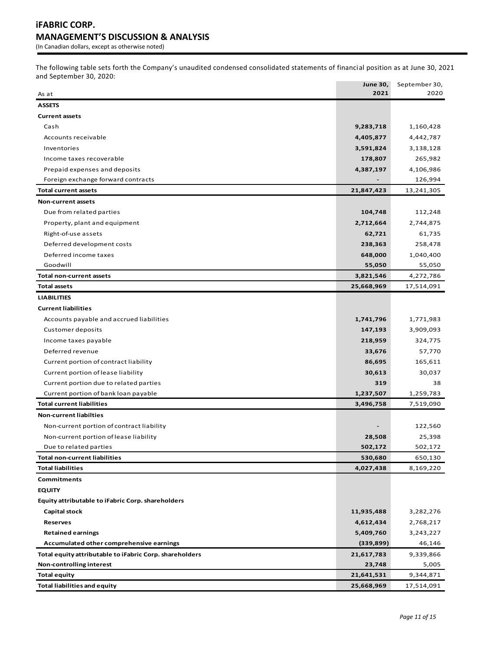The following table sets forth the Company's unaudited condensed consolidated statements of financial position as at June 30, 2021 and September 30, 2020:

|                                                         | <b>June 30,</b><br>2021 | September 30, |
|---------------------------------------------------------|-------------------------|---------------|
| As at                                                   |                         | 2020          |
| <b>ASSETS</b>                                           |                         |               |
| <b>Current assets</b>                                   |                         |               |
| Cash                                                    | 9,283,718               | 1,160,428     |
| Accounts receivable                                     | 4,405,877               | 4,442,787     |
| Inventories                                             | 3,591,824               | 3,138,128     |
| Income taxes recoverable                                | 178,807                 | 265,982       |
| Prepaid expenses and deposits                           | 4,387,197               | 4,106,986     |
| Foreign exchange forward contracts                      |                         | 126,994       |
| <b>Total current assets</b>                             | 21,847,423              | 13,241,305    |
| <b>Non-current assets</b>                               |                         |               |
| Due from related parties                                | 104,748                 | 112,248       |
| Property, plant and equipment                           | 2,712,664               | 2,744,875     |
| Right-of-use assets                                     | 62,721                  | 61,735        |
| Deferred development costs                              | 238,363                 | 258,478       |
| Deferred income taxes                                   | 648,000                 | 1,040,400     |
| Goodwill                                                | 55,050                  | 55,050        |
| <b>Total non-current assets</b>                         | 3,821,546               | 4,272,786     |
| <b>Total assets</b>                                     | 25,668,969              | 17,514,091    |
| <b>LIABILITIES</b>                                      |                         |               |
| <b>Current liabilities</b>                              |                         |               |
| Accounts payable and accrued liabilities                | 1,741,796               | 1,771,983     |
| Customer deposits                                       | 147,193                 | 3,909,093     |
| Income taxes payable                                    | 218,959                 | 324,775       |
| Deferred revenue                                        | 33,676                  | 57,770        |
| Current portion of contract liability                   | 86,695                  | 165,611       |
| Current portion of lease liability                      | 30,613                  | 30,037        |
| Current portion due to related parties                  | 319                     | 38            |
| Current portion of bank loan payable                    | 1,237,507               | 1,259,783     |
| <b>Total current liabilities</b>                        | 3,496,758               | 7,519,090     |
| <b>Non-current liabilties</b>                           |                         |               |
| Non-current portion of contract liability               |                         | 122,560       |
| Non-current portion of lease liability                  | 28,508                  | 25,398        |
| Due to related parties                                  | 502,172                 | 502,172       |
| <b>Total non-current liabilities</b>                    | 530,680                 | 650,130       |
| <b>Total liabilities</b>                                | 4,027,438               | 8,169,220     |
| Commitments                                             |                         |               |
| <b>EQUITY</b>                                           |                         |               |
| Equity attributable to iFabric Corp. shareholders       |                         |               |
| <b>Capital stock</b>                                    | 11,935,488              | 3,282,276     |
| <b>Reserves</b>                                         | 4,612,434               | 2,768,217     |
| <b>Retained earnings</b>                                | 5,409,760               | 3,243,227     |
| Accumulated other comprehensive earnings                | (339, 899)              | 46,146        |
| Total equity attributable to iFabric Corp. shareholders | 21,617,783              | 9,339,866     |
| Non-controlling interest                                | 23,748                  | 5,005         |
| <b>Total equity</b>                                     | 21,641,531              | 9,344,871     |
| <b>Total liabilities and equity</b>                     | 25,668,969              | 17,514,091    |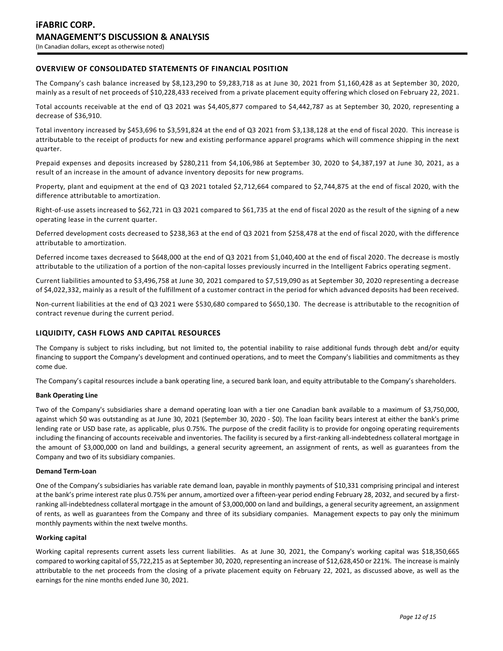## **OVERVIEW OF CONSOLIDATED STATEMENTS OF FINANCIAL POSITION**

The Company's cash balance increased by \$8,123,290 to \$9,283,718 as at June 30, 2021 from \$1,160,428 as at September 30, 2020, mainly as a result of net proceeds of \$10,228,433 received from a private placement equity offering which closed on February 22, 2021.

Total accounts receivable at the end of Q3 2021 was \$4,405,877 compared to \$4,442,787 as at September 30, 2020, representing a decrease of \$36,910.

Total inventory increased by \$453,696 to \$3,591,824 at the end of Q3 2021 from \$3,138,128 at the end of fiscal 2020. This increase is attributable to the receipt of products for new and existing performance apparel programs which will commence shipping in the next quarter.

Prepaid expenses and deposits increased by \$280,211 from \$4,106,986 at September 30, 2020 to \$4,387,197 at June 30, 2021, as a result of an increase in the amount of advance inventory deposits for new programs.

Property, plant and equipment at the end of Q3 2021 totaled \$2,712,664 compared to \$2,744,875 at the end of fiscal 2020, with the difference attributable to amortization.

Right-of-use assets increased to \$62,721 in Q3 2021 compared to \$61,735 at the end of fiscal 2020 as the result of the signing of a new operating lease in the current quarter.

Deferred development costs decreased to \$238,363 at the end of Q3 2021 from \$258,478 at the end of fiscal 2020, with the difference attributable to amortization.

Deferred income taxes decreased to \$648,000 at the end of Q3 2021 from \$1,040,400 at the end of fiscal 2020. The decrease is mostly attributable to the utilization of a portion of the non-capital losses previously incurred in the Intelligent Fabrics operating segment.

Current liabilities amounted to \$3,496,758 at June 30, 2021 compared to \$7,519,090 as at September 30, 2020 representing a decrease of \$4,022,332, mainly as a result of the fulfillment of a customer contract in the period for which advanced deposits had been received.

Non-current liabilities at the end of Q3 2021 were \$530,680 compared to \$650,130. The decrease is attributable to the recognition of contract revenue during the current period.

### **LIQUIDITY, CASH FLOWS AND CAPITAL RESOURCES**

The Company is subject to risks including, but not limited to, the potential inability to raise additional funds through debt and/or equity financing to support the Company's development and continued operations, and to meet the Company's liabilities and commitments as they come due.

The Company's capital resources include a bank operating line, a secured bank loan, and equity attributable to the Company's shareholders.

### **Bank Operating Line**

Two of the Company's subsidiaries share a demand operating loan with a tier one Canadian bank available to a maximum of \$3,750,000, against which \$0 was outstanding as at June 30, 2021 (September 30, 2020 - \$0). The loan facility bears interest at either the bank's prime lending rate or USD base rate, as applicable, plus 0.75%. The purpose of the credit facility is to provide for ongoing operating requirements including the financing of accounts receivable and inventories. The facility is secured by a first-ranking all-indebtedness collateral mortgage in the amount of \$3,000,000 on land and buildings, a general security agreement, an assignment of rents, as well as guarantees from the Company and two of its subsidiary companies.

### **Demand Term-Loan**

One of the Company's subsidiaries has variable rate demand loan, payable in monthly payments of \$10,331 comprising principal and interest at the bank's prime interest rate plus 0.75% per annum, amortized over a fifteen-year period ending February 28, 2032, and secured by a firstranking all-indebtedness collateral mortgage in the amount of \$3,000,000 on land and buildings, a general security agreement, an assignment of rents, as well as guarantees from the Company and three of its subsidiary companies. Management expects to pay only the minimum monthly payments within the next twelve months.

### **Working capital**

Working capital represents current assets less current liabilities. As at June 30, 2021, the Company's working capital was \$18,350,665 compared to working capital of \$5,722,215 as at September 30, 2020, representing an increase of \$12,628,450 or 221%. The increase is mainly attributable to the net proceeds from the closing of a private placement equity on February 22, 2021, as discussed above, as well as the earnings for the nine months ended June 30, 2021.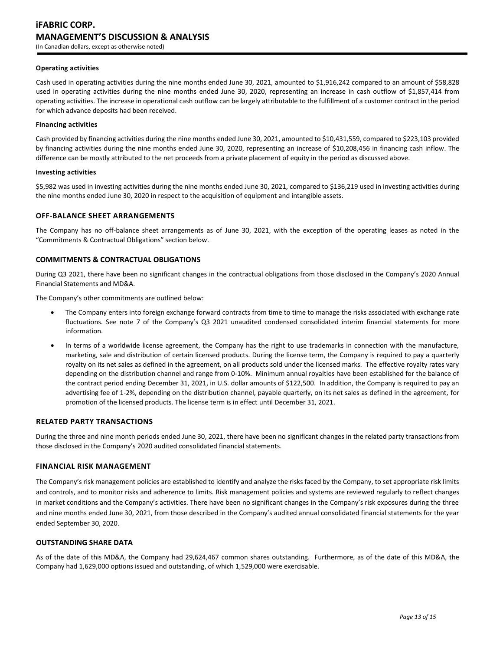### **Operating activities**

Cash used in operating activities during the nine months ended June 30, 2021, amounted to \$1,916,242 compared to an amount of \$58,828 used in operating activities during the nine months ended June 30, 2020, representing an increase in cash outflow of \$1,857,414 from operating activities. The increase in operational cash outflow can be largely attributable to the fulfillment of a customer contract in the period for which advance deposits had been received.

### **Financing activities**

Cash provided by financing activities during the nine months ended June 30, 2021, amounted to \$10,431,559, compared to \$223,103 provided by financing activities during the nine months ended June 30, 2020, representing an increase of \$10,208,456 in financing cash inflow. The difference can be mostly attributed to the net proceeds from a private placement of equity in the period as discussed above.

### **Investing activities**

\$5,982 was used in investing activities during the nine months ended June 30, 2021, compared to \$136,219 used in investing activities during the nine months ended June 30, 2020 in respect to the acquisition of equipment and intangible assets.

### **OFF-BALANCE SHEET ARRANGEMENTS**

The Company has no off-balance sheet arrangements as of June 30, 2021, with the exception of the operating leases as noted in the "Commitments & Contractual Obligations" section below.

### **COMMITMENTS & CONTRACTUAL OBLIGATIONS**

During Q3 2021, there have been no significant changes in the contractual obligations from those disclosed in the Company's 2020 Annual Financial Statements and MD&A.

The Company's other commitments are outlined below:

- The Company enters into foreign exchange forward contracts from time to time to manage the risks associated with exchange rate fluctuations. See note 7 of the Company's Q3 2021 unaudited condensed consolidated interim financial statements for more information.
- In terms of a worldwide license agreement, the Company has the right to use trademarks in connection with the manufacture, marketing, sale and distribution of certain licensed products. During the license term, the Company is required to pay a quarterly royalty on its net sales as defined in the agreement, on all products sold under the licensed marks. The effective royalty rates vary depending on the distribution channel and range from 0-10%. Minimum annual royalties have been established for the balance of the contract period ending December 31, 2021, in U.S. dollar amounts of \$122,500. In addition, the Company is required to pay an advertising fee of 1-2%, depending on the distribution channel, payable quarterly, on its net sales as defined in the agreement, for promotion of the licensed products. The license term is in effect until December 31, 2021.

### **RELATED PARTY TRANSACTIONS**

During the three and nine month periods ended June 30, 2021, there have been no significant changes in the related party transactions from those disclosed in the Company's 2020 audited consolidated financial statements.

### **FINANCIAL RISK MANAGEMENT**

The Company's risk management policies are established to identify and analyze the risks faced by the Company, to set appropriate risk limits and controls, and to monitor risks and adherence to limits. Risk management policies and systems are reviewed regularly to reflect changes in market conditions and the Company's activities. There have been no significant changes in the Company's risk exposures during the three and nine months ended June 30, 2021, from those described in the Company's audited annual consolidated financial statements for the year ended September 30, 2020.

## **OUTSTANDING SHARE DATA**

As of the date of this MD&A, the Company had 29,624,467 common shares outstanding. Furthermore, as of the date of this MD&A, the Company had 1,629,000 options issued and outstanding, of which 1,529,000 were exercisable.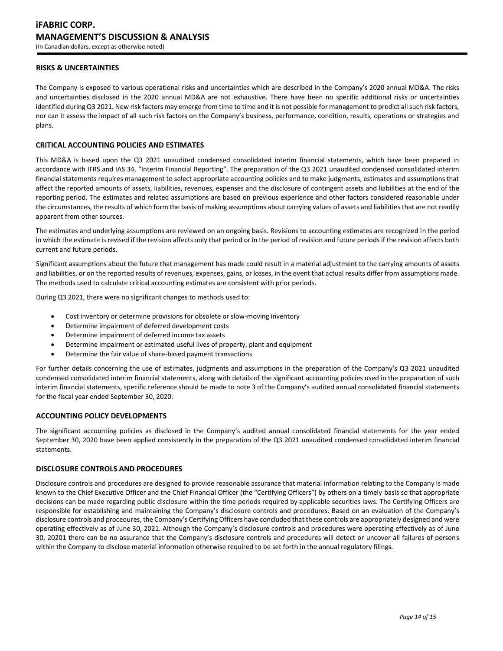## **RISKS & UNCERTAINTIES**

The Company is exposed to various operational risks and uncertainties which are described in the Company's 2020 annual MD&A. The risks and uncertainties disclosed in the 2020 annual MD&A are not exhaustive. There have been no specific additional risks or uncertainties identified during Q3 2021. New risk factors may emerge from time to time and it is not possible for management to predict all such risk factors, nor can it assess the impact of all such risk factors on the Company's business, performance, condition, results, operations or strategies and plans.

## **CRITICAL ACCOUNTING POLICIES AND ESTIMATES**

This MD&A is based upon the Q3 2021 unaudited condensed consolidated interim financial statements, which have been prepared in accordance with IFRS and IAS 34, "Interim Financial Reporting". The preparation of the Q3 2021 unaudited condensed consolidated interim financial statements requires management to select appropriate accounting policies and to make judgments, estimates and assumptions that affect the reported amounts of assets, liabilities, revenues, expenses and the disclosure of contingent assets and liabilities at the end of the reporting period. The estimates and related assumptions are based on previous experience and other factors considered reasonable under the circumstances, the results of which form the basis of making assumptions about carrying values of assets and liabilities that are not readily apparent from other sources.

The estimates and underlying assumptions are reviewed on an ongoing basis. Revisions to accounting estimates are recognized in the period in which the estimate is revised if the revision affects only that period or in the period of revision and future periods if the revision affects both current and future periods.

Significant assumptions about the future that management has made could result in a material adjustment to the carrying amounts of assets and liabilities, or on the reported results of revenues, expenses, gains, or losses, in the event that actual results differ from assumptions made. The methods used to calculate critical accounting estimates are consistent with prior periods.

During Q3 2021, there were no significant changes to methods used to:

- Cost inventory or determine provisions for obsolete or slow-moving inventory
- Determine impairment of deferred development costs
- Determine impairment of deferred income tax assets
- Determine impairment or estimated useful lives of property, plant and equipment
- Determine the fair value of share-based payment transactions

For further details concerning the use of estimates, judgments and assumptions in the preparation of the Company's Q3 2021 unaudited condensed consolidated interim financial statements, along with details of the significant accounting policies used in the preparation of such interim financial statements, specific reference should be made to note 3 of the Company's audited annual consolidated financial statements for the fiscal year ended September 30, 2020.

### **ACCOUNTING POLICY DEVELOPMENTS**

The significant accounting policies as disclosed in the Company's audited annual consolidated financial statements for the year ended September 30, 2020 have been applied consistently in the preparation of the Q3 2021 unaudited condensed consolidated interim financial statements.

### **DISCLOSURE CONTROLS AND PROCEDURES**

Disclosure controls and procedures are designed to provide reasonable assurance that material information relating to the Company is made known to the Chief Executive Officer and the Chief Financial Officer (the "Certifying Officers") by others on a timely basis so that appropriate decisions can be made regarding public disclosure within the time periods required by applicable securities laws. The Certifying Officers are responsible for establishing and maintaining the Company's disclosure controls and procedures. Based on an evaluation of the Company's disclosure controls and procedures, the Company's Certifying Officers have concluded that these controls are appropriately designed and were operating effectively as of June 30, 2021. Although the Company's disclosure controls and procedures were operating effectively as of June 30, 20201 there can be no assurance that the Company's disclosure controls and procedures will detect or uncover all failures of persons within the Company to disclose material information otherwise required to be set forth in the annual regulatory filings.